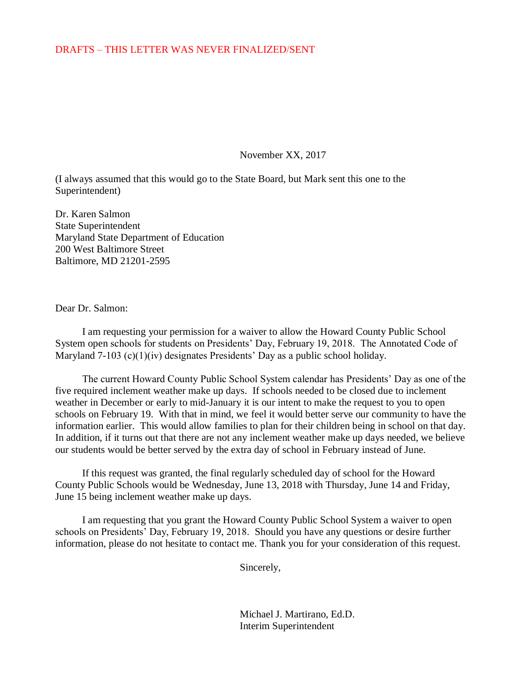## DRAFTS – THIS LETTER WAS NEVER FINALIZED/SENT

November XX, 2017

(I always assumed that this would go to the State Board, but Mark sent this one to the Superintendent)

Dr. Karen Salmon State Superintendent Maryland State Department of Education 200 West Baltimore Street Baltimore, MD 21201-2595

## Dear Dr. Salmon:

I am requesting your permission for a waiver to allow the Howard County Public School System open schools for students on Presidents' Day, February 19, 2018. The Annotated Code of Maryland 7-103 (c)(1)(iv) designates Presidents' Day as a public school holiday.

The current Howard County Public School System calendar has Presidents' Day as one of the five required inclement weather make up days. If schools needed to be closed due to inclement weather in December or early to mid-January it is our intent to make the request to you to open schools on February 19. With that in mind, we feel it would better serve our community to have the information earlier. This would allow families to plan for their children being in school on that day. In addition, if it turns out that there are not any inclement weather make up days needed, we believe our students would be better served by the extra day of school in February instead of June.

If this request was granted, the final regularly scheduled day of school for the Howard County Public Schools would be Wednesday, June 13, 2018 with Thursday, June 14 and Friday, June 15 being inclement weather make up days.

I am requesting that you grant the Howard County Public School System a waiver to open schools on Presidents' Day, February 19, 2018. Should you have any questions or desire further information, please do not hesitate to contact me. Thank you for your consideration of this request.

Sincerely,

Michael J. Martirano, Ed.D. Interim Superintendent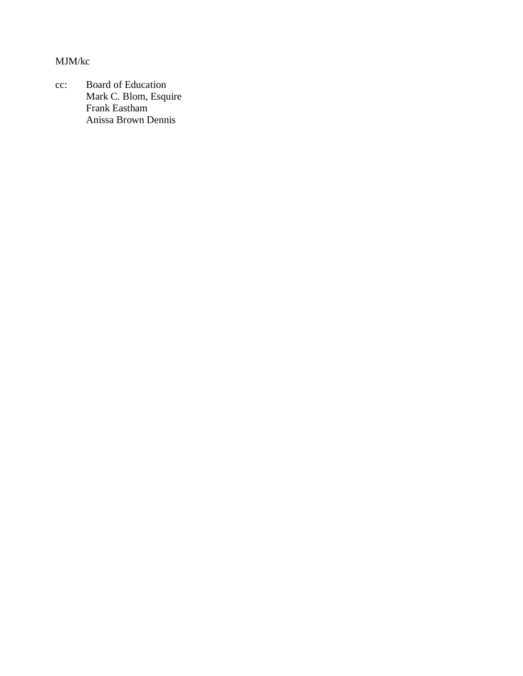MJM/kc

cc: Board of Education Mark C. Blom, Esquire Frank Eastham Anissa Brown Dennis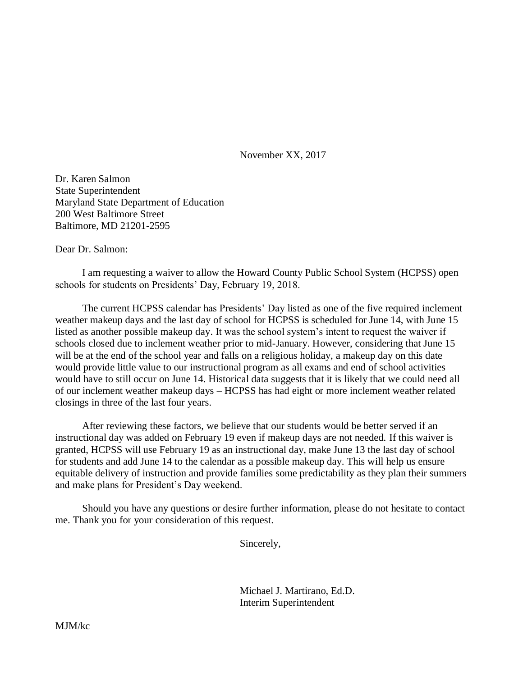November XX, 2017

Dr. Karen Salmon State Superintendent Maryland State Department of Education 200 West Baltimore Street Baltimore, MD 21201-2595

Dear Dr. Salmon:

I am requesting a waiver to allow the Howard County Public School System (HCPSS) open schools for students on Presidents' Day, February 19, 2018.

The current HCPSS calendar has Presidents' Day listed as one of the five required inclement weather makeup days and the last day of school for HCPSS is scheduled for June 14, with June 15 listed as another possible makeup day. It was the school system's intent to request the waiver if schools closed due to inclement weather prior to mid-January. However, considering that June 15 will be at the end of the school year and falls on a religious holiday, a makeup day on this date would provide little value to our instructional program as all exams and end of school activities would have to still occur on June 14. Historical data suggests that it is likely that we could need all of our inclement weather makeup days – HCPSS has had eight or more inclement weather related closings in three of the last four years.

After reviewing these factors, we believe that our students would be better served if an instructional day was added on February 19 even if makeup days are not needed. If this waiver is granted, HCPSS will use February 19 as an instructional day, make June 13 the last day of school for students and add June 14 to the calendar as a possible makeup day. This will help us ensure equitable delivery of instruction and provide families some predictability as they plan their summers and make plans for President's Day weekend.

Should you have any questions or desire further information, please do not hesitate to contact me. Thank you for your consideration of this request.

Sincerely,

Michael J. Martirano, Ed.D. Interim Superintendent